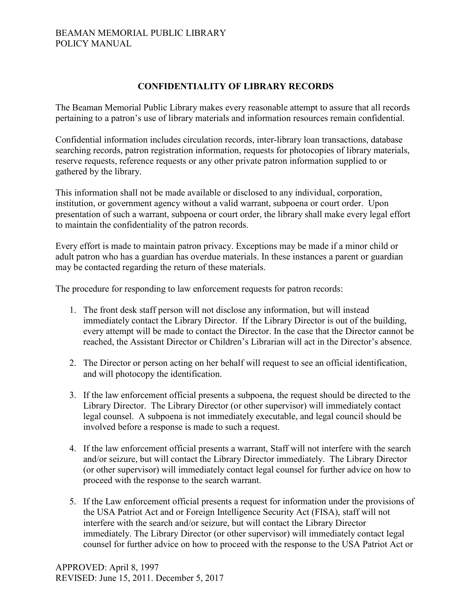## BEAMAN MEMORIAL PUBLIC LIBRARY POLICY MANUAL

## **CONFIDENTIALITY OF LIBRARY RECORDS**

The Beaman Memorial Public Library makes every reasonable attempt to assure that all records pertaining to a patron's use of library materials and information resources remain confidential.

Confidential information includes circulation records, inter-library loan transactions, database searching records, patron registration information, requests for photocopies of library materials, reserve requests, reference requests or any other private patron information supplied to or gathered by the library.

This information shall not be made available or disclosed to any individual, corporation, institution, or government agency without a valid warrant, subpoena or court order. Upon presentation of such a warrant, subpoena or court order, the library shall make every legal effort to maintain the confidentiality of the patron records.

Every effort is made to maintain patron privacy. Exceptions may be made if a minor child or adult patron who has a guardian has overdue materials. In these instances a parent or guardian may be contacted regarding the return of these materials.

The procedure for responding to law enforcement requests for patron records:

- 1. The front desk staff person will not disclose any information, but will instead immediately contact the Library Director. If the Library Director is out of the building, every attempt will be made to contact the Director. In the case that the Director cannot be reached, the Assistant Director or Children's Librarian will act in the Director's absence.
- 2. The Director or person acting on her behalf will request to see an official identification, and will photocopy the identification.
- 3. If the law enforcement official presents a subpoena, the request should be directed to the Library Director. The Library Director (or other supervisor) will immediately contact legal counsel. A subpoena is not immediately executable, and legal council should be involved before a response is made to such a request.
- 4. If the law enforcement official presents a warrant, Staff will not interfere with the search and/or seizure, but will contact the Library Director immediately. The Library Director (or other supervisor) will immediately contact legal counsel for further advice on how to proceed with the response to the search warrant.
- 5. If the Law enforcement official presents a request for information under the provisions of the USA Patriot Act and or Foreign Intelligence Security Act (FISA), staff will not interfere with the search and/or seizure, but will contact the Library Director immediately. The Library Director (or other supervisor) will immediately contact legal counsel for further advice on how to proceed with the response to the USA Patriot Act or

APPROVED: April 8, 1997 REVISED: June 15, 2011. December 5, 2017